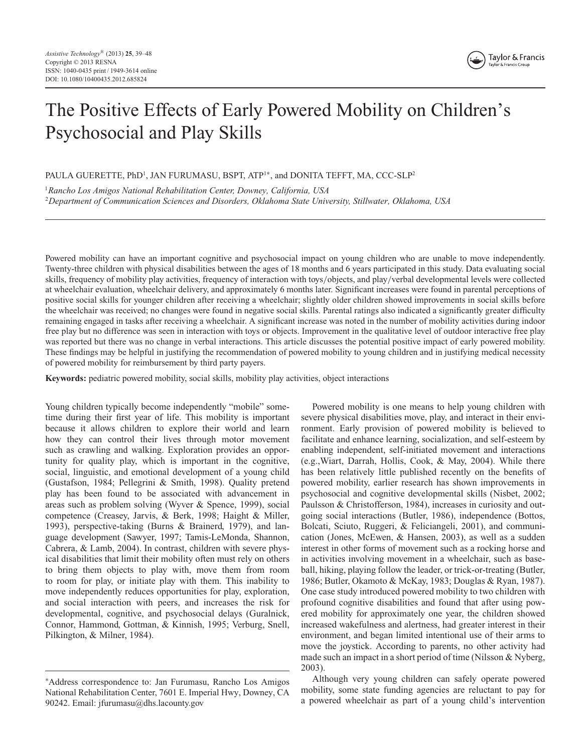

# The Positive Effects of Early Powered Mobility on Children's Psychosocial and Play Skills

PAULA GUERETTE,  $\mathrm{PhD}^1, \mathrm{JAN}$  FURUMASU, BSPT, ATP $^{1*}, \mathrm{and}$  DONITA TEFFT, MA, CCC-SLP $^2$ 

<sup>1</sup>*Rancho Los Amigos National Rehabilitation Center, Downey, California, USA* <sup>2</sup>*Department of Communication Sciences and Disorders, Oklahoma State University, Stillwater, Oklahoma, USA*

Powered mobility can have an important cognitive and psychosocial impact on young children who are unable to move independently. Twenty-three children with physical disabilities between the ages of 18 months and 6 years participated in this study. Data evaluating social skills, frequency of mobility play activities, frequency of interaction with toys/objects, and play/verbal developmental levels were collected at wheelchair evaluation, wheelchair delivery, and approximately 6 months later. Significant increases were found in parental perceptions of positive social skills for younger children after receiving a wheelchair; slightly older children showed improvements in social skills before the wheelchair was received; no changes were found in negative social skills. Parental ratings also indicated a significantly greater difficulty remaining engaged in tasks after receiving a wheelchair. A significant increase was noted in the number of mobility activities during indoor free play but no difference was seen in interaction with toys or objects. Improvement in the qualitative level of outdoor interactive free play was reported but there was no change in verbal interactions. This article discusses the potential positive impact of early powered mobility. These findings may be helpful in justifying the recommendation of powered mobility to young children and in justifying medical necessity of powered mobility for reimbursement by third party payers.

**Keywords:** pediatric powered mobility, social skills, mobility play activities, object interactions

Young children typically become independently "mobile" sometime during their first year of life. This mobility is important because it allows children to explore their world and learn how they can control their lives through motor movement such as crawling and walking. Exploration provides an opportunity for quality play, which is important in the cognitive, social, linguistic, and emotional development of a young child (Gustafson, 1984; Pellegrini & Smith, 1998). Quality pretend play has been found to be associated with advancement in areas such as problem solving (Wyver & Spence, 1999), social competence (Creasey, Jarvis, & Berk, 1998; Haight & Miller, 1993), perspective-taking (Burns & Brainerd, 1979), and language development (Sawyer, 1997; Tamis-LeMonda, Shannon, Cabrera, & Lamb, 2004). In contrast, children with severe physical disabilities that limit their mobility often must rely on others to bring them objects to play with, move them from room to room for play, or initiate play with them. This inability to move independently reduces opportunities for play, exploration, and social interaction with peers, and increases the risk for developmental, cognitive, and psychosocial delays (Guralnick, Connor, Hammond, Gottman, & Kinnish, 1995; Verburg, Snell, Pilkington, & Milner, 1984).

Powered mobility is one means to help young children with severe physical disabilities move, play, and interact in their environment. Early provision of powered mobility is believed to facilitate and enhance learning, socialization, and self-esteem by enabling independent, self-initiated movement and interactions (e.g.,Wiart, Darrah, Hollis, Cook, & May, 2004). While there has been relatively little published recently on the benefits of powered mobility, earlier research has shown improvements in psychosocial and cognitive developmental skills (Nisbet, 2002; Paulsson & Christofferson, 1984), increases in curiosity and outgoing social interactions (Butler, 1986), independence (Bottos, Bolcati, Sciuto, Ruggeri, & Feliciangeli, 2001), and communication (Jones, McEwen, & Hansen, 2003), as well as a sudden interest in other forms of movement such as a rocking horse and in activities involving movement in a wheelchair, such as baseball, hiking, playing follow the leader, or trick-or-treating (Butler, 1986; Butler, Okamoto & McKay, 1983; Douglas & Ryan, 1987). One case study introduced powered mobility to two children with profound cognitive disabilities and found that after using powered mobility for approximately one year, the children showed increased wakefulness and alertness, had greater interest in their environment, and began limited intentional use of their arms to move the joystick. According to parents, no other activity had made such an impact in a short period of time (Nilsson & Nyberg, 2003).

Although very young children can safely operate powered mobility, some state funding agencies are reluctant to pay for a powered wheelchair as part of a young child's intervention

<sup>∗</sup> Address correspondence to: Jan Furumasu, Rancho Los Amigos National Rehabilitation Center, 7601 E. Imperial Hwy, Downey, CA 90242. Email: jfurumasu@dhs.lacounty.gov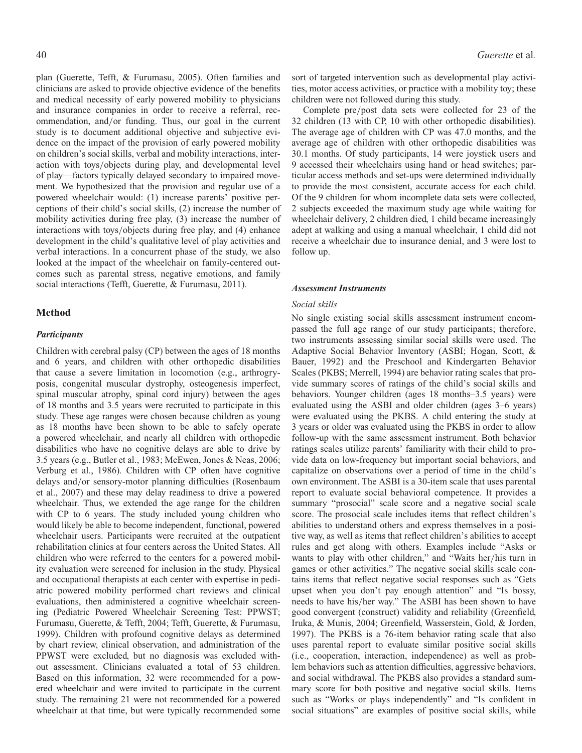plan (Guerette, Tefft, & Furumasu, 2005). Often families and clinicians are asked to provide objective evidence of the benefits and medical necessity of early powered mobility to physicians and insurance companies in order to receive a referral, recommendation, and/or funding. Thus, our goal in the current study is to document additional objective and subjective evidence on the impact of the provision of early powered mobility on children's social skills, verbal and mobility interactions, interaction with toys/objects during play, and developmental level of play—factors typically delayed secondary to impaired movement. We hypothesized that the provision and regular use of a powered wheelchair would: (1) increase parents' positive perceptions of their child's social skills, (2) increase the number of mobility activities during free play, (3) increase the number of interactions with toys/objects during free play, and (4) enhance development in the child's qualitative level of play activities and verbal interactions. In a concurrent phase of the study, we also looked at the impact of the wheelchair on family-centered outcomes such as parental stress, negative emotions, and family social interactions (Tefft, Guerette, & Furumasu, 2011).

## **Method**

## *Participants*

Children with cerebral palsy (CP) between the ages of 18 months and 6 years, and children with other orthopedic disabilities that cause a severe limitation in locomotion (e.g., arthrogryposis, congenital muscular dystrophy, osteogenesis imperfect, spinal muscular atrophy, spinal cord injury) between the ages of 18 months and 3.5 years were recruited to participate in this study. These age ranges were chosen because children as young as 18 months have been shown to be able to safely operate a powered wheelchair, and nearly all children with orthopedic disabilities who have no cognitive delays are able to drive by 3.5 years (e.g., Butler et al., 1983; McEwen, Jones & Neas, 2006; Verburg et al., 1986). Children with CP often have cognitive delays and/or sensory-motor planning difficulties (Rosenbaum et al., 2007) and these may delay readiness to drive a powered wheelchair. Thus, we extended the age range for the children with CP to 6 years. The study included young children who would likely be able to become independent, functional, powered wheelchair users. Participants were recruited at the outpatient rehabilitation clinics at four centers across the United States. All children who were referred to the centers for a powered mobility evaluation were screened for inclusion in the study. Physical and occupational therapists at each center with expertise in pediatric powered mobility performed chart reviews and clinical evaluations, then administered a cognitive wheelchair screening (Pediatric Powered Wheelchair Screening Test: PPWST; Furumasu, Guerette, & Tefft, 2004; Tefft, Guerette, & Furumasu, 1999). Children with profound cognitive delays as determined by chart review, clinical observation, and administration of the PPWST were excluded, but no diagnosis was excluded without assessment. Clinicians evaluated a total of 53 children. Based on this information, 32 were recommended for a powered wheelchair and were invited to participate in the current study. The remaining 21 were not recommended for a powered wheelchair at that time, but were typically recommended some

sort of targeted intervention such as developmental play activities, motor access activities, or practice with a mobility toy; these children were not followed during this study.

Complete pre/post data sets were collected for 23 of the 32 children (13 with CP, 10 with other orthopedic disabilities). The average age of children with CP was 47.0 months, and the average age of children with other orthopedic disabilities was 30.1 months. Of study participants, 14 were joystick users and 9 accessed their wheelchairs using hand or head switches; particular access methods and set-ups were determined individually to provide the most consistent, accurate access for each child. Of the 9 children for whom incomplete data sets were collected, 2 subjects exceeded the maximum study age while waiting for wheelchair delivery, 2 children died, 1 child became increasingly adept at walking and using a manual wheelchair, 1 child did not receive a wheelchair due to insurance denial, and 3 were lost to follow up.

#### *Assessment Instruments*

## *Social skills*

No single existing social skills assessment instrument encompassed the full age range of our study participants; therefore, two instruments assessing similar social skills were used. The Adaptive Social Behavior Inventory (ASBI; Hogan, Scott, & Bauer, 1992) and the Preschool and Kindergarten Behavior Scales (PKBS; Merrell, 1994) are behavior rating scales that provide summary scores of ratings of the child's social skills and behaviors. Younger children (ages 18 months–3.5 years) were evaluated using the ASBI and older children (ages 3–6 years) were evaluated using the PKBS. A child entering the study at 3 years or older was evaluated using the PKBS in order to allow follow-up with the same assessment instrument. Both behavior ratings scales utilize parents' familiarity with their child to provide data on low-frequency but important social behaviors, and capitalize on observations over a period of time in the child's own environment. The ASBI is a 30-item scale that uses parental report to evaluate social behavioral competence. It provides a summary "prosocial" scale score and a negative social scale score. The prosocial scale includes items that reflect children's abilities to understand others and express themselves in a positive way, as well as items that reflect children's abilities to accept rules and get along with others. Examples include "Asks or wants to play with other children," and "Waits her/his turn in games or other activities." The negative social skills scale contains items that reflect negative social responses such as "Gets upset when you don't pay enough attention" and "Is bossy, needs to have his/her way." The ASBI has been shown to have good convergent (construct) validity and reliability (Greenfield, Iruka, & Munis, 2004; Greenfield, Wasserstein, Gold, & Jorden, 1997). The PKBS is a 76-item behavior rating scale that also uses parental report to evaluate similar positive social skills (i.e., cooperation, interaction, independence) as well as problem behaviors such as attention difficulties, aggressive behaviors, and social withdrawal. The PKBS also provides a standard summary score for both positive and negative social skills. Items such as "Works or plays independently" and "Is confident in social situations" are examples of positive social skills, while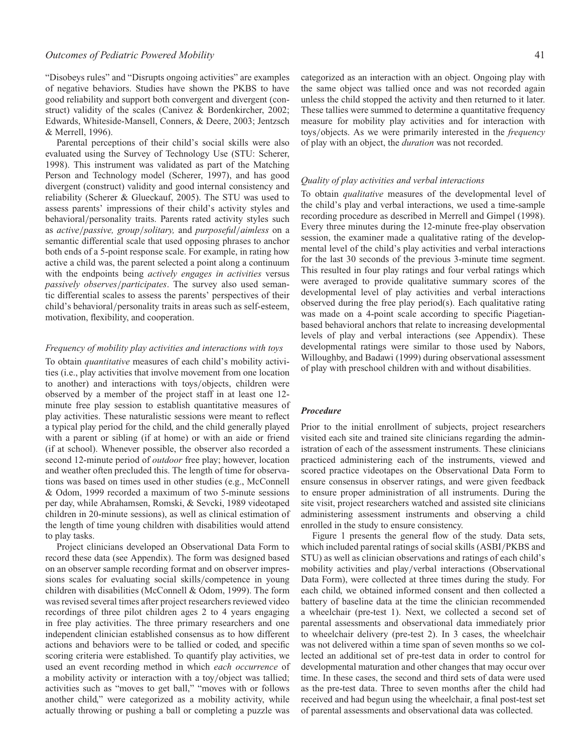"Disobeys rules" and "Disrupts ongoing activities" are examples of negative behaviors. Studies have shown the PKBS to have good reliability and support both convergent and divergent (construct) validity of the scales (Canivez & Bordenkircher, 2002; Edwards, Whiteside-Mansell, Conners, & Deere, 2003; Jentzsch & Merrell, 1996).

Parental perceptions of their child's social skills were also evaluated using the Survey of Technology Use (STU: Scherer, 1998). This instrument was validated as part of the Matching Person and Technology model (Scherer, 1997), and has good divergent (construct) validity and good internal consistency and reliability (Scherer & Glueckauf, 2005). The STU was used to assess parents' impressions of their child's activity styles and behavioral/personality traits. Parents rated activity styles such as *active*/*passive, group*/*solitary,* and *purposeful*/*aimless* on a semantic differential scale that used opposing phrases to anchor both ends of a 5-point response scale. For example, in rating how active a child was, the parent selected a point along a continuum with the endpoints being *actively engages in activities* versus *passively observes*/*participates*. The survey also used semantic differential scales to assess the parents' perspectives of their child's behavioral/personality traits in areas such as self-esteem, motivation, flexibility, and cooperation.

#### *Frequency of mobility play activities and interactions with toys*

To obtain *quantitative* measures of each child's mobility activities (i.e., play activities that involve movement from one location to another) and interactions with toys/objects, children were observed by a member of the project staff in at least one 12 minute free play session to establish quantitative measures of play activities. These naturalistic sessions were meant to reflect a typical play period for the child, and the child generally played with a parent or sibling (if at home) or with an aide or friend (if at school). Whenever possible, the observer also recorded a second 12-minute period of *outdoor* free play; however, location and weather often precluded this. The length of time for observations was based on times used in other studies (e.g., McConnell & Odom, 1999 recorded a maximum of two 5-minute sessions per day, while Abrahamsen, Romski, & Sevcki, 1989 videotaped children in 20-minute sessions), as well as clinical estimation of the length of time young children with disabilities would attend to play tasks.

Project clinicians developed an Observational Data Form to record these data (see Appendix). The form was designed based on an observer sample recording format and on observer impressions scales for evaluating social skills/competence in young children with disabilities (McConnell & Odom, 1999). The form was revised several times after project researchers reviewed video recordings of three pilot children ages 2 to 4 years engaging in free play activities. The three primary researchers and one independent clinician established consensus as to how different actions and behaviors were to be tallied or coded, and specific scoring criteria were established. To quantify play activities, we used an event recording method in which *each occurrence* of a mobility activity or interaction with a toy/object was tallied; activities such as "moves to get ball," "moves with or follows another child," were categorized as a mobility activity, while actually throwing or pushing a ball or completing a puzzle was

categorized as an interaction with an object. Ongoing play with the same object was tallied once and was not recorded again unless the child stopped the activity and then returned to it later. These tallies were summed to determine a quantitative frequency measure for mobility play activities and for interaction with toys/objects. As we were primarily interested in the *frequency* of play with an object, the *duration* was not recorded.

#### *Quality of play activities and verbal interactions*

To obtain *qualitative* measures of the developmental level of the child's play and verbal interactions, we used a time-sample recording procedure as described in Merrell and Gimpel (1998). Every three minutes during the 12-minute free-play observation session, the examiner made a qualitative rating of the developmental level of the child's play activities and verbal interactions for the last 30 seconds of the previous 3-minute time segment. This resulted in four play ratings and four verbal ratings which were averaged to provide qualitative summary scores of the developmental level of play activities and verbal interactions observed during the free play period(s). Each qualitative rating was made on a 4-point scale according to specific Piagetianbased behavioral anchors that relate to increasing developmental levels of play and verbal interactions (see Appendix). These developmental ratings were similar to those used by Nabors, Willoughby, and Badawi (1999) during observational assessment of play with preschool children with and without disabilities.

#### *Procedure*

Prior to the initial enrollment of subjects, project researchers visited each site and trained site clinicians regarding the administration of each of the assessment instruments. These clinicians practiced administering each of the instruments, viewed and scored practice videotapes on the Observational Data Form to ensure consensus in observer ratings, and were given feedback to ensure proper administration of all instruments. During the site visit, project researchers watched and assisted site clinicians administering assessment instruments and observing a child enrolled in the study to ensure consistency.

Figure 1 presents the general flow of the study. Data sets, which included parental ratings of social skills (ASBI/PKBS and STU) as well as clinician observations and ratings of each child's mobility activities and play/verbal interactions (Observational Data Form), were collected at three times during the study. For each child, we obtained informed consent and then collected a battery of baseline data at the time the clinician recommended a wheelchair (pre-test 1). Next, we collected a second set of parental assessments and observational data immediately prior to wheelchair delivery (pre-test 2). In 3 cases, the wheelchair was not delivered within a time span of seven months so we collected an additional set of pre-test data in order to control for developmental maturation and other changes that may occur over time. In these cases, the second and third sets of data were used as the pre-test data. Three to seven months after the child had received and had begun using the wheelchair, a final post-test set of parental assessments and observational data was collected.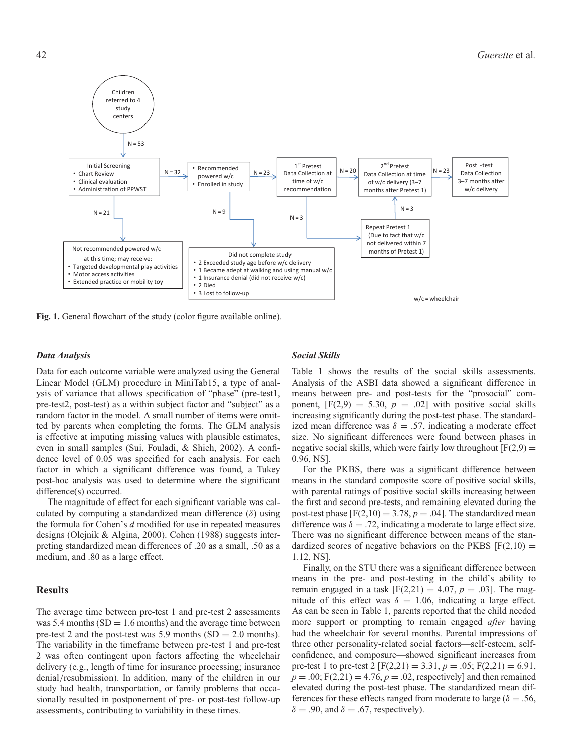

**Fig. 1.** General flowchart of the study (color figure available online).

#### *Data Analysis*

Data for each outcome variable were analyzed using the General Linear Model (GLM) procedure in MiniTab15, a type of analysis of variance that allows specification of "phase" (pre-test1, pre-test2, post-test) as a within subject factor and "subject" as a random factor in the model. A small number of items were omitted by parents when completing the forms. The GLM analysis is effective at imputing missing values with plausible estimates, even in small samples (Sui, Fouladi, & Shieh, 2002). A confidence level of 0.05 was specified for each analysis. For each factor in which a significant difference was found, a Tukey post-hoc analysis was used to determine where the significant difference(s) occurred.

The magnitude of effect for each significant variable was calculated by computing a standardized mean difference  $(\delta)$  using the formula for Cohen's *d* modified for use in repeated measures designs (Olejnik & Algina, 2000). Cohen (1988) suggests interpreting standardized mean differences of .20 as a small, .50 as a medium, and .80 as a large effect.

## **Results**

The average time between pre-test 1 and pre-test 2 assessments was 5.4 months ( $SD = 1.6$  months) and the average time between pre-test 2 and the post-test was  $5.9$  months (SD = 2.0 months). The variability in the timeframe between pre-test 1 and pre-test 2 was often contingent upon factors affecting the wheelchair delivery (e.g., length of time for insurance processing; insurance denial/resubmission). In addition, many of the children in our study had health, transportation, or family problems that occasionally resulted in postponement of pre- or post-test follow-up assessments, contributing to variability in these times.

## *Social Skills*

Table 1 shows the results of the social skills assessments. Analysis of the ASBI data showed a significant difference in means between pre- and post-tests for the "prosocial" component,  $[F(2,9) = 5.30, p = .02]$  with positive social skills increasing significantly during the post-test phase. The standardized mean difference was  $\delta = .57$ , indicating a moderate effect size. No significant differences were found between phases in negative social skills, which were fairly low throughout  $[F(2,9) =$ 0.96, NS].

For the PKBS, there was a significant difference between means in the standard composite score of positive social skills, with parental ratings of positive social skills increasing between the first and second pre-tests, and remaining elevated during the post-test phase  $[F(2,10) = 3.78, p = .04]$ . The standardized mean difference was  $\delta = 0.72$ , indicating a moderate to large effect size. There was no significant difference between means of the standardized scores of negative behaviors on the PKBS  $[F(2,10) =$ 1.12, NS].

Finally, on the STU there was a significant difference between means in the pre- and post-testing in the child's ability to remain engaged in a task  $[F(2,21) = 4.07, p = .03]$ . The magnitude of this effect was  $\delta = 1.06$ , indicating a large effect. As can be seen in Table 1, parents reported that the child needed more support or prompting to remain engaged *after* having had the wheelchair for several months. Parental impressions of three other personality-related social factors—self-esteem, selfconfidence, and composure—showed significant increases from pre-test 1 to pre-test 2 [F(2,21) = 3.31,  $p = .05$ ; F(2,21) = 6.91,  $p = .00$ ;  $F(2,21) = 4.76$ ,  $p = .02$ , respectively] and then remained elevated during the post-test phase. The standardized mean differences for these effects ranged from moderate to large ( $\delta = .56$ ,  $\delta = .90$ , and  $\delta = .67$ , respectively).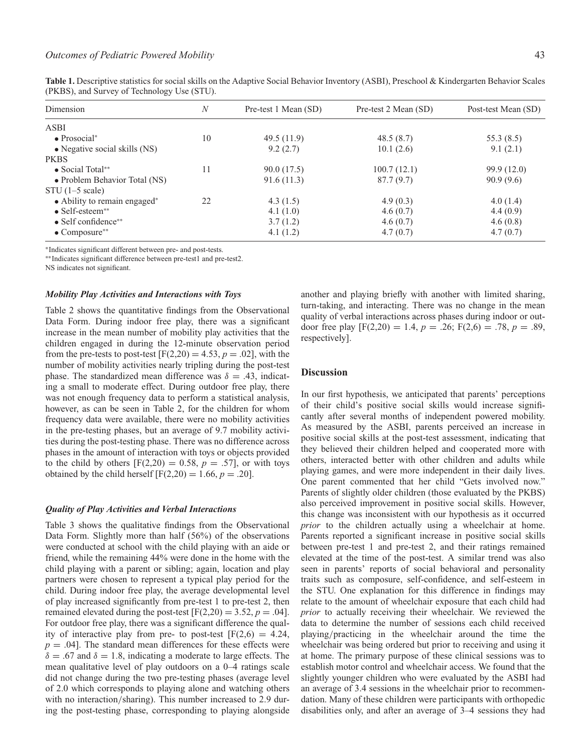| Dimension<br>N                       |    | Pre-test 1 Mean (SD) | Pre-test 2 Mean (SD) | Post-test Mean (SD) |  |
|--------------------------------------|----|----------------------|----------------------|---------------------|--|
| <b>ASBI</b>                          |    |                      |                      |                     |  |
| $\bullet$ Prosocial <sup>*</sup>     | 10 | 49.5 (11.9)          | 48.5(8.7)            | 55.3(8.5)           |  |
| • Negative social skills $(NS)$      |    | 9.2(2.7)             | 10.1(2.6)            | 9.1(2.1)            |  |
| <b>PKBS</b>                          |    |                      |                      |                     |  |
| $\bullet$ Social Total**             | 11 | 90.0(17.5)           | 100.7(12.1)          | 99.9 (12.0)         |  |
| • Problem Behavior Total (NS)        |    | 91.6(11.3)           | 87.7(9.7)            | 90.9(9.6)           |  |
| $STU$ (1–5 scale)                    |    |                      |                      |                     |  |
| $\bullet$ Ability to remain engaged* | 22 | 4.3(1.5)             | 4.9(0.3)             | 4.0(1.4)            |  |
| $\bullet$ Self-esteem**              |    | 4.1(1.0)             | 4.6(0.7)             | 4.4(0.9)            |  |
| $\bullet$ Self confidence**          |    | 3.7(1.2)             | 4.6(0.7)             | 4.6(0.8)            |  |
| $\bullet$ Composure**                |    | 4.1(1.2)             | 4.7(0.7)             | 4.7(0.7)            |  |

**Table 1.** Descriptive statistics for social skills on the Adaptive Social Behavior Inventory (ASBI), Preschool & Kindergarten Behavior Scales (PKBS), and Survey of Technology Use (STU).

∗Indicates significant different between pre- and post-tests.

∗∗Indicates significant difference between pre-test1 and pre-test2.

NS indicates not significant.

## *Mobility Play Activities and Interactions with Toys*

Table 2 shows the quantitative findings from the Observational Data Form. During indoor free play, there was a significant increase in the mean number of mobility play activities that the children engaged in during the 12-minute observation period from the pre-tests to post-test  $[F(2,20) = 4.53, p = .02]$ , with the number of mobility activities nearly tripling during the post-test phase. The standardized mean difference was  $\delta = .43$ , indicating a small to moderate effect. During outdoor free play, there was not enough frequency data to perform a statistical analysis, however, as can be seen in Table 2, for the children for whom frequency data were available, there were no mobility activities in the pre-testing phases, but an average of 9.7 mobility activities during the post-testing phase. There was no difference across phases in the amount of interaction with toys or objects provided to the child by others  $[F(2,20) = 0.58, p = .57]$ , or with toys obtained by the child herself  $[F(2,20) = 1.66, p = .20]$ .

#### *Quality of Play Activities and Verbal Interactions*

Table 3 shows the qualitative findings from the Observational Data Form. Slightly more than half (56%) of the observations were conducted at school with the child playing with an aide or friend, while the remaining 44% were done in the home with the child playing with a parent or sibling; again, location and play partners were chosen to represent a typical play period for the child. During indoor free play, the average developmental level of play increased significantly from pre-test 1 to pre-test 2, then remained elevated during the post-test  $[F(2,20) = 3.52, p = .04]$ . For outdoor free play, there was a significant difference the quality of interactive play from pre- to post-test  $[F(2,6) = 4.24]$ ,  $p = .04$ . The standard mean differences for these effects were  $\delta = .67$  and  $\delta = 1.8$ , indicating a moderate to large effects. The mean qualitative level of play outdoors on a 0–4 ratings scale did not change during the two pre-testing phases (average level of 2.0 which corresponds to playing alone and watching others with no interaction/sharing). This number increased to 2.9 during the post-testing phase, corresponding to playing alongside another and playing briefly with another with limited sharing, turn-taking, and interacting. There was no change in the mean quality of verbal interactions across phases during indoor or outdoor free play  $[F(2,20) = 1.4, p = .26; F(2,6) = .78, p = .89,$ respectively].

## **Discussion**

In our first hypothesis, we anticipated that parents' perceptions of their child's positive social skills would increase significantly after several months of independent powered mobility. As measured by the ASBI, parents perceived an increase in positive social skills at the post-test assessment, indicating that they believed their children helped and cooperated more with others, interacted better with other children and adults while playing games, and were more independent in their daily lives. One parent commented that her child "Gets involved now." Parents of slightly older children (those evaluated by the PKBS) also perceived improvement in positive social skills. However, this change was inconsistent with our hypothesis as it occurred *prior* to the children actually using a wheelchair at home. Parents reported a significant increase in positive social skills between pre-test 1 and pre-test 2, and their ratings remained elevated at the time of the post-test. A similar trend was also seen in parents' reports of social behavioral and personality traits such as composure, self-confidence, and self-esteem in the STU. One explanation for this difference in findings may relate to the amount of wheelchair exposure that each child had *prior* to actually receiving their wheelchair. We reviewed the data to determine the number of sessions each child received playing/practicing in the wheelchair around the time the wheelchair was being ordered but prior to receiving and using it at home. The primary purpose of these clinical sessions was to establish motor control and wheelchair access. We found that the slightly younger children who were evaluated by the ASBI had an average of 3.4 sessions in the wheelchair prior to recommendation. Many of these children were participants with orthopedic disabilities only, and after an average of 3–4 sessions they had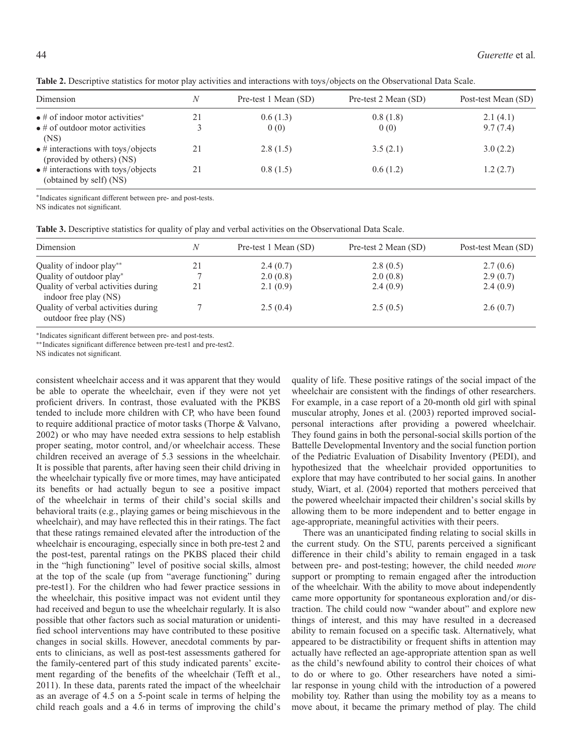| Dimension                                                               | N  | Pre-test 1 Mean (SD) | Pre-test 2 Mean (SD) | Post-test Mean (SD) |
|-------------------------------------------------------------------------|----|----------------------|----------------------|---------------------|
| $\bullet$ # of indoor motor activities*                                 | 21 | 0.6(1.3)             | 0.8(1.8)             | 2.1(4.1)            |
| $\bullet$ # of outdoor motor activities<br>(NS)                         | 3  | 0(0)                 | 0(0)                 | 9.7(7.4)            |
| $\bullet$ # interactions with toys/objects<br>(provided by others) (NS) | 21 | 2.8(1.5)             | 3.5(2.1)             | 3.0(2.2)            |
| $\bullet$ # interactions with toys/objects<br>(obtained by self) (NS)   | 21 | 0.8(1.5)             | 0.6(1.2)             | 1.2(2.7)            |

**Table 2.** Descriptive statistics for motor play activities and interactions with toys/objects on the Observational Data Scale.

∗Indicates significant different between pre- and post-tests.

NS indicates not significant.

**Table 3.** Descriptive statistics for quality of play and verbal activities on the Observational Data Scale.

| Dimension                                                     | N  | Pre-test 1 Mean (SD) | Pre-test 2 Mean (SD) | Post-test Mean (SD) |
|---------------------------------------------------------------|----|----------------------|----------------------|---------------------|
| Quality of indoor play**                                      | 21 | 2.4(0.7)             | 2.8(0.5)             | 2.7(0.6)            |
| Ouality of outdoor play*                                      |    | 2.0(0.8)             | 2.0(0.8)             | 2.9(0.7)            |
| Quality of verbal activities during<br>indoor free play (NS)  | 21 | 2.1(0.9)             | 2.4(0.9)             | 2.4(0.9)            |
| Quality of verbal activities during<br>outdoor free play (NS) |    | 2.5(0.4)             | 2.5(0.5)             | 2.6(0.7)            |

∗Indicates significant different between pre- and post-tests.

∗∗Indicates significant difference between pre-test1 and pre-test2.

NS indicates not significant.

consistent wheelchair access and it was apparent that they would be able to operate the wheelchair, even if they were not yet proficient drivers. In contrast, those evaluated with the PKBS tended to include more children with CP, who have been found to require additional practice of motor tasks (Thorpe & Valvano, 2002) or who may have needed extra sessions to help establish proper seating, motor control, and/or wheelchair access. These children received an average of 5.3 sessions in the wheelchair. It is possible that parents, after having seen their child driving in the wheelchair typically five or more times, may have anticipated its benefits or had actually begun to see a positive impact of the wheelchair in terms of their child's social skills and behavioral traits (e.g., playing games or being mischievous in the wheelchair), and may have reflected this in their ratings. The fact that these ratings remained elevated after the introduction of the wheelchair is encouraging, especially since in both pre-test 2 and the post-test, parental ratings on the PKBS placed their child in the "high functioning" level of positive social skills, almost at the top of the scale (up from "average functioning" during pre-test1). For the children who had fewer practice sessions in the wheelchair, this positive impact was not evident until they had received and begun to use the wheelchair regularly. It is also possible that other factors such as social maturation or unidentified school interventions may have contributed to these positive changes in social skills. However, anecdotal comments by parents to clinicians, as well as post-test assessments gathered for the family-centered part of this study indicated parents' excitement regarding of the benefits of the wheelchair (Tefft et al., 2011). In these data, parents rated the impact of the wheelchair as an average of 4.5 on a 5-point scale in terms of helping the child reach goals and a 4.6 in terms of improving the child's quality of life. These positive ratings of the social impact of the wheelchair are consistent with the findings of other researchers. For example, in a case report of a 20-month old girl with spinal muscular atrophy, Jones et al. (2003) reported improved socialpersonal interactions after providing a powered wheelchair. They found gains in both the personal-social skills portion of the Battelle Developmental Inventory and the social function portion of the Pediatric Evaluation of Disability Inventory (PEDI), and hypothesized that the wheelchair provided opportunities to explore that may have contributed to her social gains. In another study, Wiart, et al. (2004) reported that mothers perceived that the powered wheelchair impacted their children's social skills by allowing them to be more independent and to better engage in age-appropriate, meaningful activities with their peers.

There was an unanticipated finding relating to social skills in the current study. On the STU, parents perceived a significant difference in their child's ability to remain engaged in a task between pre- and post-testing; however, the child needed *more* support or prompting to remain engaged after the introduction of the wheelchair. With the ability to move about independently came more opportunity for spontaneous exploration and/or distraction. The child could now "wander about" and explore new things of interest, and this may have resulted in a decreased ability to remain focused on a specific task. Alternatively, what appeared to be distractibility or frequent shifts in attention may actually have reflected an age-appropriate attention span as well as the child's newfound ability to control their choices of what to do or where to go. Other researchers have noted a similar response in young child with the introduction of a powered mobility toy. Rather than using the mobility toy as a means to move about, it became the primary method of play. The child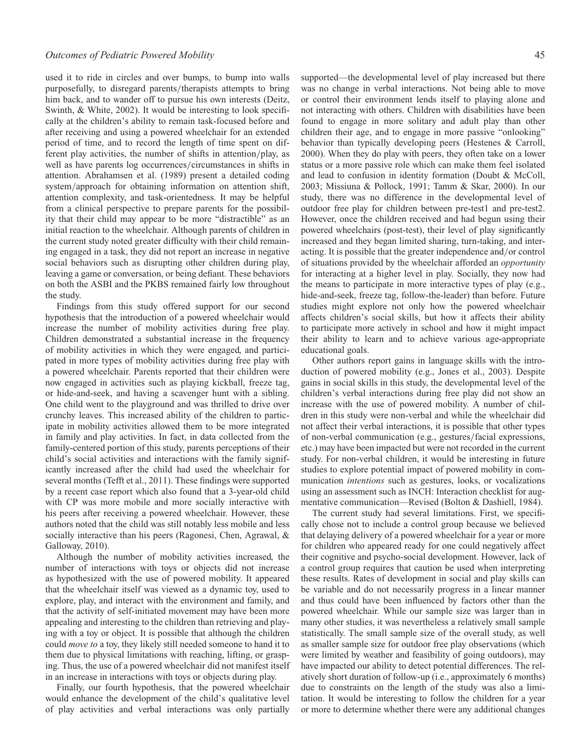used it to ride in circles and over bumps, to bump into walls purposefully, to disregard parents/therapists attempts to bring him back, and to wander off to pursue his own interests (Deitz, Swinth, & White, 2002). It would be interesting to look specifically at the children's ability to remain task-focused before and after receiving and using a powered wheelchair for an extended period of time, and to record the length of time spent on different play activities, the number of shifts in attention/play, as well as have parents log occurrences/circumstances in shifts in attention. Abrahamsen et al. (1989) present a detailed coding system/approach for obtaining information on attention shift, attention complexity, and task-orientedness. It may be helpful from a clinical perspective to prepare parents for the possibility that their child may appear to be more "distractible" as an initial reaction to the wheelchair. Although parents of children in the current study noted greater difficulty with their child remaining engaged in a task, they did not report an increase in negative social behaviors such as disrupting other children during play, leaving a game or conversation, or being defiant. These behaviors on both the ASBI and the PKBS remained fairly low throughout the study.

Findings from this study offered support for our second hypothesis that the introduction of a powered wheelchair would increase the number of mobility activities during free play. Children demonstrated a substantial increase in the frequency of mobility activities in which they were engaged, and participated in more types of mobility activities during free play with a powered wheelchair. Parents reported that their children were now engaged in activities such as playing kickball, freeze tag, or hide-and-seek, and having a scavenger hunt with a sibling. One child went to the playground and was thrilled to drive over crunchy leaves. This increased ability of the children to participate in mobility activities allowed them to be more integrated in family and play activities. In fact, in data collected from the family-centered portion of this study, parents perceptions of their child's social activities and interactions with the family significantly increased after the child had used the wheelchair for several months (Tefft et al., 2011). These findings were supported by a recent case report which also found that a 3-year-old child with CP was more mobile and more socially interactive with his peers after receiving a powered wheelchair. However, these authors noted that the child was still notably less mobile and less socially interactive than his peers (Ragonesi, Chen, Agrawal, & Galloway, 2010).

Although the number of mobility activities increased, the number of interactions with toys or objects did not increase as hypothesized with the use of powered mobility. It appeared that the wheelchair itself was viewed as a dynamic toy, used to explore, play, and interact with the environment and family, and that the activity of self-initiated movement may have been more appealing and interesting to the children than retrieving and playing with a toy or object. It is possible that although the children could *move to* a toy, they likely still needed someone to hand it to them due to physical limitations with reaching, lifting, or grasping. Thus, the use of a powered wheelchair did not manifest itself in an increase in interactions with toys or objects during play.

Finally, our fourth hypothesis, that the powered wheelchair would enhance the development of the child's qualitative level of play activities and verbal interactions was only partially supported—the developmental level of play increased but there was no change in verbal interactions. Not being able to move or control their environment lends itself to playing alone and not interacting with others. Children with disabilities have been found to engage in more solitary and adult play than other children their age, and to engage in more passive "onlooking" behavior than typically developing peers (Hestenes & Carroll, 2000). When they do play with peers, they often take on a lower status or a more passive role which can make them feel isolated and lead to confusion in identity formation (Doubt & McColl, 2003; Missiuna & Pollock, 1991; Tamm & Skar, 2000). In our study, there was no difference in the developmental level of outdoor free play for children between pre-test1 and pre-test2. However, once the children received and had begun using their powered wheelchairs (post-test), their level of play significantly increased and they began limited sharing, turn-taking, and interacting. It is possible that the greater independence and/or control of situations provided by the wheelchair afforded an *opportunity* for interacting at a higher level in play. Socially, they now had the means to participate in more interactive types of play (e.g., hide-and-seek, freeze tag, follow-the-leader) than before. Future studies might explore not only how the powered wheelchair affects children's social skills, but how it affects their ability to participate more actively in school and how it might impact their ability to learn and to achieve various age-appropriate educational goals.

Other authors report gains in language skills with the introduction of powered mobility (e.g., Jones et al., 2003). Despite gains in social skills in this study, the developmental level of the children's verbal interactions during free play did not show an increase with the use of powered mobility. A number of children in this study were non-verbal and while the wheelchair did not affect their verbal interactions, it is possible that other types of non-verbal communication (e.g., gestures/facial expressions, etc.) may have been impacted but were not recorded in the current study. For non-verbal children, it would be interesting in future studies to explore potential impact of powered mobility in communication *intentions* such as gestures, looks, or vocalizations using an assessment such as INCH: Interaction checklist for augmentative communication—Revised (Bolton & Dashiell, 1984).

The current study had several limitations. First, we specifically chose not to include a control group because we believed that delaying delivery of a powered wheelchair for a year or more for children who appeared ready for one could negatively affect their cognitive and psycho-social development. However, lack of a control group requires that caution be used when interpreting these results. Rates of development in social and play skills can be variable and do not necessarily progress in a linear manner and thus could have been influenced by factors other than the powered wheelchair. While our sample size was larger than in many other studies, it was nevertheless a relatively small sample statistically. The small sample size of the overall study, as well as smaller sample size for outdoor free play observations (which were limited by weather and feasibility of going outdoors), may have impacted our ability to detect potential differences. The relatively short duration of follow-up (i.e., approximately 6 months) due to constraints on the length of the study was also a limitation. It would be interesting to follow the children for a year or more to determine whether there were any additional changes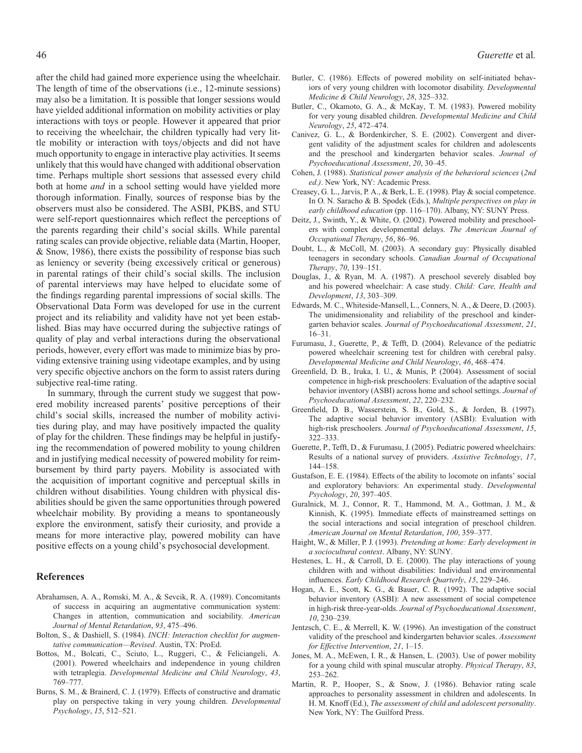after the child had gained more experience using the wheelchair. The length of time of the observations (i.e., 12-minute sessions) may also be a limitation. It is possible that longer sessions would have yielded additional information on mobility activities or play interactions with toys or people. However it appeared that prior to receiving the wheelchair, the children typically had very little mobility or interaction with toys/objects and did not have much opportunity to engage in interactive play activities. It seems unlikely that this would have changed with additional observation time. Perhaps multiple short sessions that assessed every child both at home *and* in a school setting would have yielded more thorough information. Finally, sources of response bias by the observers must also be considered. The ASBI, PKBS, and STU were self-report questionnaires which reflect the perceptions of the parents regarding their child's social skills. While parental rating scales can provide objective, reliable data (Martin, Hooper, & Snow, 1986), there exists the possibility of response bias such as leniency or severity (being excessively critical or generous) in parental ratings of their child's social skills. The inclusion of parental interviews may have helped to elucidate some of the findings regarding parental impressions of social skills. The Observational Data Form was developed for use in the current project and its reliability and validity have not yet been established. Bias may have occurred during the subjective ratings of quality of play and verbal interactions during the observational periods, however, every effort was made to minimize bias by providing extensive training using videotape examples, and by using very specific objective anchors on the form to assist raters during subjective real-time rating.

In summary, through the current study we suggest that powered mobility increased parents' positive perceptions of their child's social skills, increased the number of mobility activities during play, and may have positively impacted the quality of play for the children. These findings may be helpful in justifying the recommendation of powered mobility to young children and in justifying medical necessity of powered mobility for reimbursement by third party payers. Mobility is associated with the acquisition of important cognitive and perceptual skills in children without disabilities. Young children with physical disabilities should be given the same opportunities through powered wheelchair mobility. By providing a means to spontaneously explore the environment, satisfy their curiosity, and provide a means for more interactive play, powered mobility can have positive effects on a young child's psychosocial development.

## **References**

- Abrahamsen, A. A., Romski, M. A., & Sevcik, R. A. (1989). Concomitants of success in acquiring an augmentative communication system: Changes in attention, communication and sociability. *American Journal of Mental Retardation*, *93*, 475–496.
- Bolton, S., & Dashiell, S. (1984). *INCH: Interaction checklist for augmentative communication—Revised*. Austin, TX: ProEd.
- Bottos, M., Bolcati, C., Sciuto, L., Ruggeri, C., & Feliciangeli, A. (2001). Powered wheelchairs and independence in young children with tetraplegia. *Developmental Medicine and Child Neurology*, *43*, 769–777.
- Burns, S. M., & Brainerd, C. J. (1979). Effects of constructive and dramatic play on perspective taking in very young children. *Developmental Psychology*, *15*, 512–521.
- Butler, C. (1986). Effects of powered mobility on self-initiated behaviors of very young children with locomotor disability. *Developmental Medicine & Child Neurology*, *28*, 325–332.
- Butler, C., Okamoto, G. A., & McKay, T. M. (1983). Powered mobility for very young disabled children. *Developmental Medicine and Child Neurology*, *25*, 472–474.
- Canivez, G. L., & Bordenkircher, S. E. (2002). Convergent and divergent validity of the adjustment scales for children and adolescents and the preschool and kindergarten behavior scales. *Journal of Psychoeducational Assessment*, *20*, 30–45.
- Cohen, J. (1988). *Statistical power analysis of the behavioral sciences* (*2nd ed.)*. New York, NY: Academic Press.
- Creasey, G. L., Jarvis, P. A., & Berk, L. E. (1998). Play & social competence. In O. N. Saracho & B. Spodek (Eds.), *Multiple perspectives on play in early childhood education* (pp. 116–170). Albany, NY: SUNY Press.
- Deitz, J., Swinth, Y., & White, O. (2002). Powered mobility and preschoolers with complex developmental delays. *The American Journal of Occupational Therapy*, *56*, 86–96.
- Doubt, L., & McColl, M. (2003). A secondary guy: Physically disabled teenagers in secondary schools. *Canadian Journal of Occupational Therapy*, *70*, 139–151.
- Douglas, J., & Ryan, M. A. (1987). A preschool severely disabled boy and his powered wheelchair: A case study. *Child: Care, Health and Development*, *13*, 303–309.
- Edwards, M. C., Whiteside-Mansell, L., Conners, N. A., & Deere, D. (2003). The unidimensionality and reliability of the preschool and kindergarten behavior scales. *Journal of Psychoeducational Assessment*, *21*, 16–31.
- Furumasu, J., Guerette, P., & Tefft, D. (2004). Relevance of the pediatric powered wheelchair screening test for children with cerebral palsy. *Developmental Medicine and Child Neurology*, *46*, 468–474.
- Greenfield, D. B., Iruka, I. U., & Munis, P. (2004). Assessment of social competence in high-risk preschoolers: Evaluation of the adaptive social behavior inventory (ASBI) across home and school settings. *Journal of Psychoeducational Assessment*, *22*, 220–232.
- Greenfield, D. B., Wasserstein, S. B., Gold, S., & Jorden, B. (1997). The adaptive social behavior inventory (ASBI): Evaluation with high-risk preschoolers. *Journal of Psychoeducational Assessment*, *15*, 322–333.
- Guerette, P., Tefft, D., & Furumasu, J. (2005). Pediatric powered wheelchairs: Results of a national survey of providers. *Assistive Technology*, *17*, 144–158.
- Gustafson, E. E. (1984). Effects of the ability to locomote on infants' social and exploratory behaviors: An experimental study. *Developmental Psychology*, *20*, 397–405.
- Guralnick, M. J., Connor, R. T., Hammond, M. A., Gottman, J. M., & Kinnish, K. (1995). Immediate effects of mainstreamed settings on the social interactions and social integration of preschool children. *American Journal on Mental Retardation*, *100*, 359–377.
- Haight, W., & Miller, P. J. (1993). *Pretending at home: Early development in a sociocultural context*. Albany, NY: SUNY.
- Hestenes, L. H., & Carroll, D. E. (2000). The play interactions of young children with and without disabilities: Individual and environmental influences. *Early Childhood Research Quarterly*, *15*, 229–246.
- Hogan, A. E., Scott, K. G., & Bauer, C. R. (1992). The adaptive social behavior inventory (ASBI): A new assessment of social competence in high-risk three-year-olds. *Journal of Psychoeducational Assessment*, *10*, 230–239.
- Jentzsch, C. E., & Merrell, K. W. (1996). An investigation of the construct validity of the preschool and kindergarten behavior scales. *Assessment for Effective Intervention*, *21*, 1–15.
- Jones, M. A., McEwen, I. R., & Hansen, L. (2003). Use of power mobility for a young child with spinal muscular atrophy. *Physical Therapy*, *83*, 253–262.
- Martin, R. P., Hooper, S., & Snow, J. (1986). Behavior rating scale approaches to personality assessment in children and adolescents. In H. M. Knoff (Ed.), *The assessment of child and adolescent personality*. New York, NY: The Guilford Press.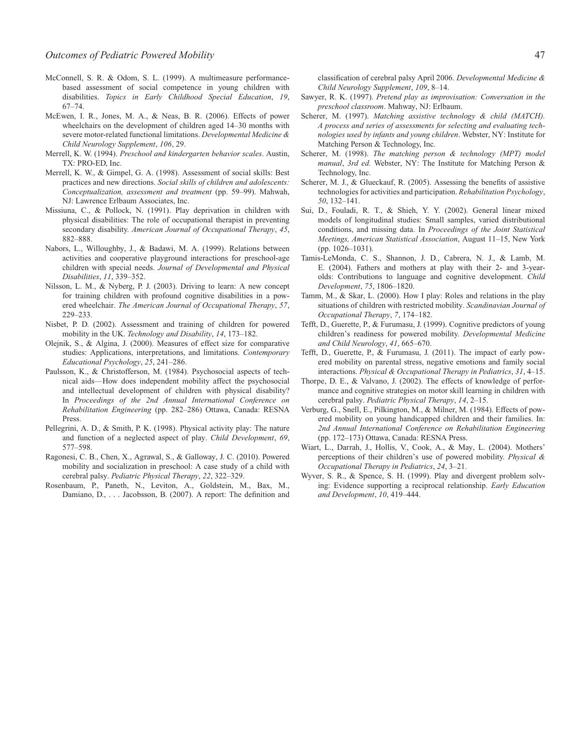- McConnell, S. R. & Odom, S. L. (1999). A multimeasure performancebased assessment of social competence in young children with disabilities. *Topics in Early Childhood Special Education*, *19*, 67–74.
- McEwen, I. R., Jones, M. A., & Neas, B. R. (2006). Effects of power wheelchairs on the development of children aged 14–30 months with severe motor-related functional limitations. *Developmental Medicine & Child Neurology Supplement*, *106*, 29.
- Merrell, K. W. (1994). *Preschool and kindergarten behavior scales*. Austin, TX: PRO-ED, Inc.
- Merrell, K. W., & Gimpel, G. A. (1998). Assessment of social skills: Best practices and new directions. *Social skills of children and adolescents: Conceptualization, assessment and treatment* (pp. 59–99). Mahwah, NJ: Lawrence Erlbaum Associates, Inc.
- Missiuna, C., & Pollock, N. (1991). Play deprivation in children with physical disabilities: The role of occupational therapist in preventing secondary disability. *American Journal of Occupational Therapy*, *45*, 882–888.
- Nabors, L., Willoughby, J., & Badawi, M. A. (1999). Relations between activities and cooperative playground interactions for preschool-age children with special needs. *Journal of Developmental and Physical Disabilities*, *11*, 339–352.
- Nilsson, L. M., & Nyberg, P. J. (2003). Driving to learn: A new concept for training children with profound cognitive disabilities in a powered wheelchair. *The American Journal of Occupational Therapy*, *57*, 229–233.
- Nisbet, P. D. (2002). Assessment and training of children for powered mobility in the UK. *Technology and Disability*, *14*, 173–182.
- Olejnik, S., & Algina, J. (2000). Measures of effect size for comparative studies: Applications, interpretations, and limitations. *Contemporary Educational Psychology*, *25*, 241–286.
- Paulsson, K., & Christofferson, M. (1984). Psychosocial aspects of technical aids—How does independent mobility affect the psychosocial and intellectual development of children with physical disability? In *Proceedings of the 2nd Annual International Conference on Rehabilitation Engineering* (pp. 282–286) Ottawa, Canada: RESNA Press.
- Pellegrini, A. D., & Smith, P. K. (1998). Physical activity play: The nature and function of a neglected aspect of play. *Child Development*, *69*, 577–598.
- Ragonesi, C. B., Chen, X., Agrawal, S., & Galloway, J. C. (2010). Powered mobility and socialization in preschool: A case study of a child with cerebral palsy. *Pediatric Physical Therapy*, *22*, 322–329.
- Rosenbaum, P., Paneth, N., Leviton, A., Goldstein, M., Bax, M., Damiano, D., ... Jacobsson, B. (2007). A report: The definition and

classification of cerebral palsy April 2006. *Developmental Medicine & Child Neurology Supplement*, *109*, 8–14.

- Sawyer, R. K. (1997). *Pretend play as improvisation: Conversation in the preschool classroom*. Mahway, NJ: Erlbaum.
- Scherer, M. (1997). *Matching assistive technology & child (MATCH). A process and series of assessments for selecting and evaluating technologies used by infants and young children*. Webster, NY: Institute for Matching Person & Technology, Inc.
- Scherer, M. (1998). *The matching person & technology (MPT) model manual*, *3rd ed.* Webster, NY: The Institute for Matching Person & Technology, Inc.
- Scherer, M. J., & Glueckauf, R. (2005). Assessing the benefits of assistive technologies for activities and participation. *Rehabilitation Psychology*, *50*, 132–141.
- Sui, D., Fouladi, R. T., & Shieh, Y. Y. (2002). General linear mixed models of longitudinal studies: Small samples, varied distributional conditions, and missing data. In *Proceedings of the Joint Statistical Meetings, American Statistical Association*, August 11–15, New York (pp. 1026–1031).
- Tamis-LeMonda, C. S., Shannon, J. D., Cabrera, N. J., & Lamb, M. E. (2004). Fathers and mothers at play with their 2- and 3-yearolds: Contributions to language and cognitive development. *Child Development*, *75*, 1806–1820.
- Tamm, M., & Skar, L. (2000). How I play: Roles and relations in the play situations of children with restricted mobility. *Scandinavian Journal of Occupational Therapy*, *7*, 174–182.
- Tefft, D., Guerette, P., & Furumasu, J. (1999). Cognitive predictors of young children's readiness for powered mobility. *Developmental Medicine and Child Neurology*, *41*, 665–670.
- Tefft, D., Guerette, P., & Furumasu, J. (2011). The impact of early powered mobility on parental stress, negative emotions and family social interactions. *Physical & Occupational Therapy in Pediatrics*, *31*, 4–15.
- Thorpe, D. E., & Valvano, J. (2002). The effects of knowledge of performance and cognitive strategies on motor skill learning in children with cerebral palsy. *Pediatric Physical Therapy*, *14*, 2–15.
- Verburg, G., Snell, E., Pilkington, M., & Milner, M. (1984). Effects of powered mobility on young handicapped children and their families. In: *2nd Annual International Conference on Rehabilitation Engineering* (pp. 172–173) Ottawa, Canada: RESNA Press.
- Wiart, L., Darrah, J., Hollis, V., Cook, A., & May, L. (2004). Mothers' perceptions of their children's use of powered mobility. *Physical & Occupational Therapy in Pediatrics*, *24*, 3–21.
- Wyver, S. R., & Spence, S. H. (1999). Play and divergent problem solving: Evidence supporting a reciprocal relationship. *Early Education and Development*, *10*, 419–444.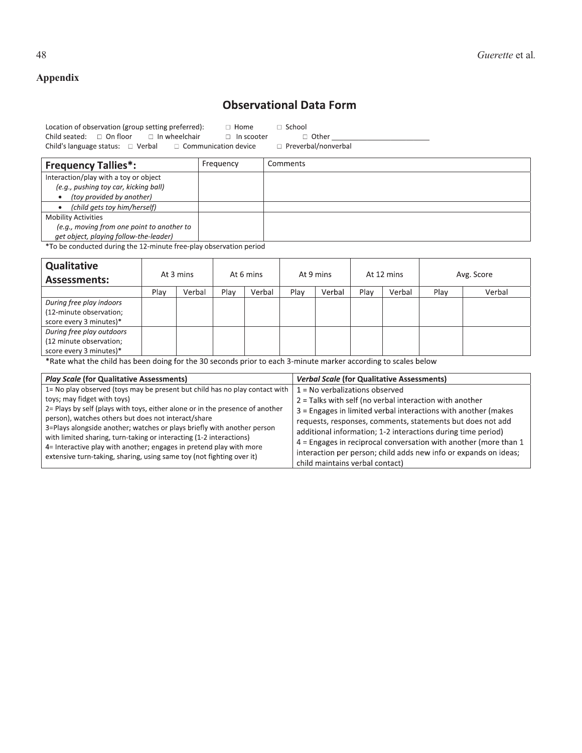## **Appendix**

## **Observational Data Form**

Location of observation (group setting preferred):  $\Box$  Home  $\Box$  School Child seated:  $\Box$  On floor  $\Box$  In wheelchair  $\Box$  In scooter  $\Box$  Other  $\Box$ □ Communication device Preverbal/nonverbal

| <b>Frequency Tallies*:</b>                 | Frequency | Comments |
|--------------------------------------------|-----------|----------|
| Interaction/play with a toy or object      |           |          |
| (e.g., pushing toy car, kicking ball)      |           |          |
| (toy provided by another)                  |           |          |
| (child gets toy him/herself)               |           |          |
| <b>Mobility Activities</b>                 |           |          |
| (e.g., moving from one point to another to |           |          |
| get object, playing follow-the-leader)     |           |          |

\*To be conducted during the 12-minute free-play observation period

| Qualitative                                                                                                    |           |        |           |        |           |                                                   |            |        |            |        |
|----------------------------------------------------------------------------------------------------------------|-----------|--------|-----------|--------|-----------|---------------------------------------------------|------------|--------|------------|--------|
| <b>Assessments:</b>                                                                                            | At 3 mins |        | At 6 mins |        | At 9 mins |                                                   | At 12 mins |        | Avg. Score |        |
|                                                                                                                | Play      | Verbal | Play      | Verbal | Play      | Verbal                                            | Play       | Verbal | Play       | Verbal |
| During free play indoors                                                                                       |           |        |           |        |           |                                                   |            |        |            |        |
| (12-minute observation:                                                                                        |           |        |           |        |           |                                                   |            |        |            |        |
| score every 3 minutes)*                                                                                        |           |        |           |        |           |                                                   |            |        |            |        |
| During free play outdoors                                                                                      |           |        |           |        |           |                                                   |            |        |            |        |
| (12 minute observation;                                                                                        |           |        |           |        |           |                                                   |            |        |            |        |
| score every 3 minutes)*                                                                                        |           |        |           |        |           |                                                   |            |        |            |        |
| *Rate what the child has been doing for the 30 seconds prior to each 3-minute marker according to scales below |           |        |           |        |           |                                                   |            |        |            |        |
| <b>Play Scale (for Qualitative Assessments)</b>                                                                |           |        |           |        |           | <b>Verbal Scale (for Qualitative Assessments)</b> |            |        |            |        |

| <b>Play Scale (for Qualitative Assessments)</b>                                                                                                                                                                                                                                                                                                                                                                                        | <b>Verbal Scale (for Qualitative Assessments)</b>                                                                                                                                                                                                                                                                                                                         |
|----------------------------------------------------------------------------------------------------------------------------------------------------------------------------------------------------------------------------------------------------------------------------------------------------------------------------------------------------------------------------------------------------------------------------------------|---------------------------------------------------------------------------------------------------------------------------------------------------------------------------------------------------------------------------------------------------------------------------------------------------------------------------------------------------------------------------|
| 1= No play observed (toys may be present but child has no play contact with                                                                                                                                                                                                                                                                                                                                                            | $1 = No$ verbalizations observed                                                                                                                                                                                                                                                                                                                                          |
| toys; may fidget with toys)                                                                                                                                                                                                                                                                                                                                                                                                            | 2 = Talks with self (no verbal interaction with another                                                                                                                                                                                                                                                                                                                   |
| 2= Plays by self (plays with toys, either alone or in the presence of another<br>person), watches others but does not interact/share<br>3=Plays alongside another; watches or plays briefly with another person<br>with limited sharing, turn-taking or interacting (1-2 interactions)<br>4= Interactive play with another; engages in pretend play with more<br>extensive turn-taking, sharing, using same toy (not fighting over it) | 3 = Engages in limited verbal interactions with another (makes<br>requests, responses, comments, statements but does not add<br>additional information; 1-2 interactions during time period)<br>$4$ = Engages in reciprocal conversation with another (more than 1<br>interaction per person; child adds new info or expands on ideas;<br>child maintains verbal contact) |